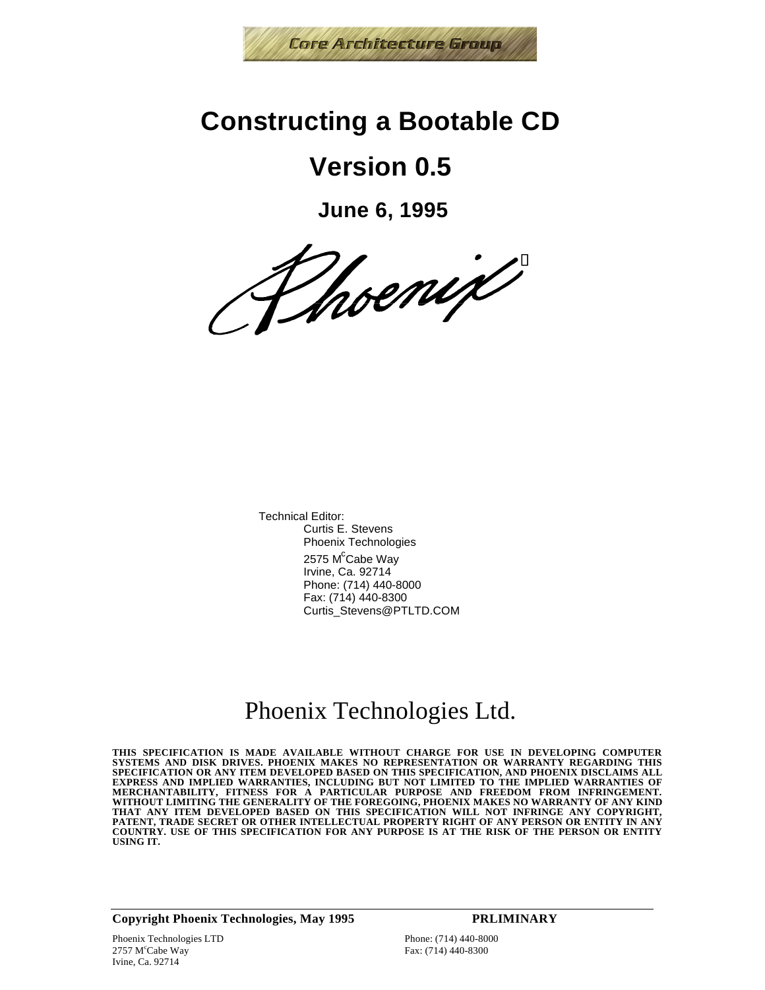

## **Constructing a Bootable CD**

# **Version 0.5**

**June 6, 1995**

Thoenix

Technical Editor: Curtis E. Stevens Phoenix Technologies 2575 M<sup>c</sup>Cabe Way Irvine, Ca. 92714 Phone: (714) 440-8000 Fax: (714) 440-8300 Curtis\_Stevens@PTLTD.COM

## Phoenix Technologies Ltd.

**THIS SPECIFICATION IS MADE AVAILABLE WITHOUT CHARGE FOR USE IN DEVELOPING COMPUTER SYSTEMS AND DISK DRIVES. PHOENIX MAKES NO REPRESENTATION OR WARRANTY REGARDING THIS SPECIFICATION OR ANY ITEM DEVELOPED BASED ON THIS SPECIFICATION, AND PHOENIX DISCLAIMS ALL** EXPRESS AND IMPLIED WARRANTIES, INCLUDING BUT NOT LIMITED TO THE IMPLIED WARRANTIES OF<br>MERCHANTABILITY, FITNESS FOR A PARTICULAR PURPOSE AND FREEDOM FROM INFRINGEMENT.<br>WITHOUT LIMITING THE GENERALITY OF THE FOREGOING, PHOE **PATENT, TRADE SECRET OR OTHER INTELLECTUAL PROPERTY RIGHT OF ANY PERSON OR ENTITY IN ANY COUNTRY. USE OF THIS SPECIFICATION FOR ANY PURPOSE IS AT THE RISK OF THE PERSON OR ENTITY USING IT.**

**Copyright Phoenix Technologies, May 1995 PRLIMINARY**

Fax: (714) 440-8300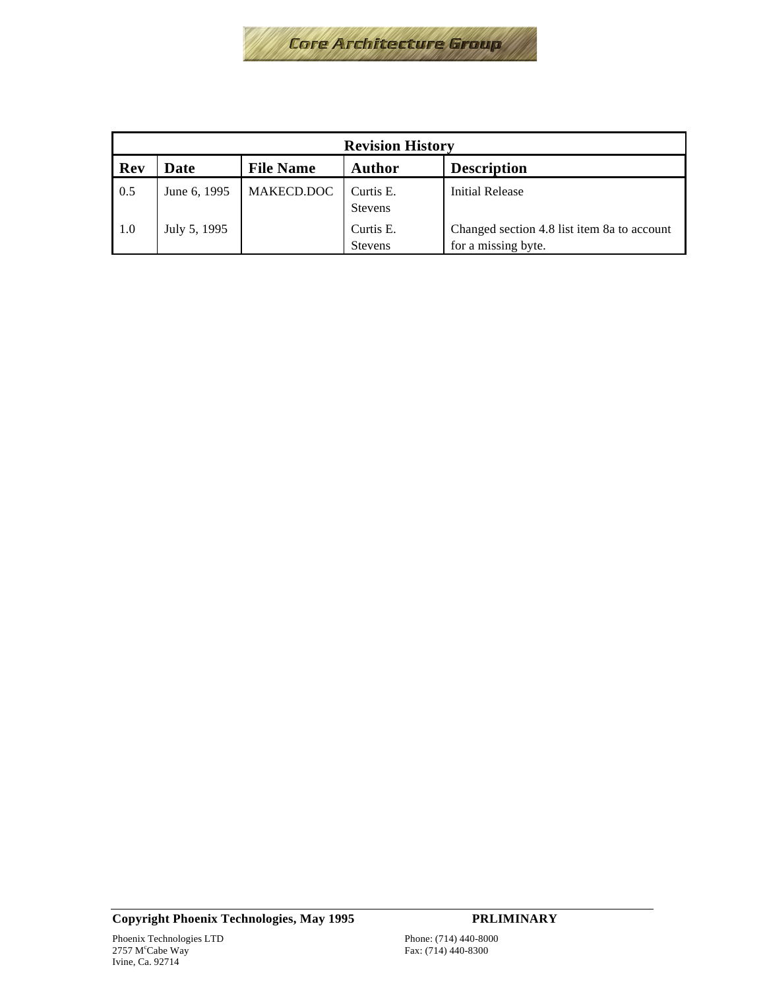

| <b>Revision History</b> |              |                  |                             |                                                                    |
|-------------------------|--------------|------------------|-----------------------------|--------------------------------------------------------------------|
| Rev                     | Date         | <b>File Name</b> | Author                      | <b>Description</b>                                                 |
| 0.5                     | June 6, 1995 | MAKECD.DOC       | Curtis E.<br><b>Stevens</b> | Initial Release                                                    |
| -1.0                    | July 5, 1995 |                  | Curtis E.<br><b>Stevens</b> | Changed section 4.8 list item 8a to account<br>for a missing byte. |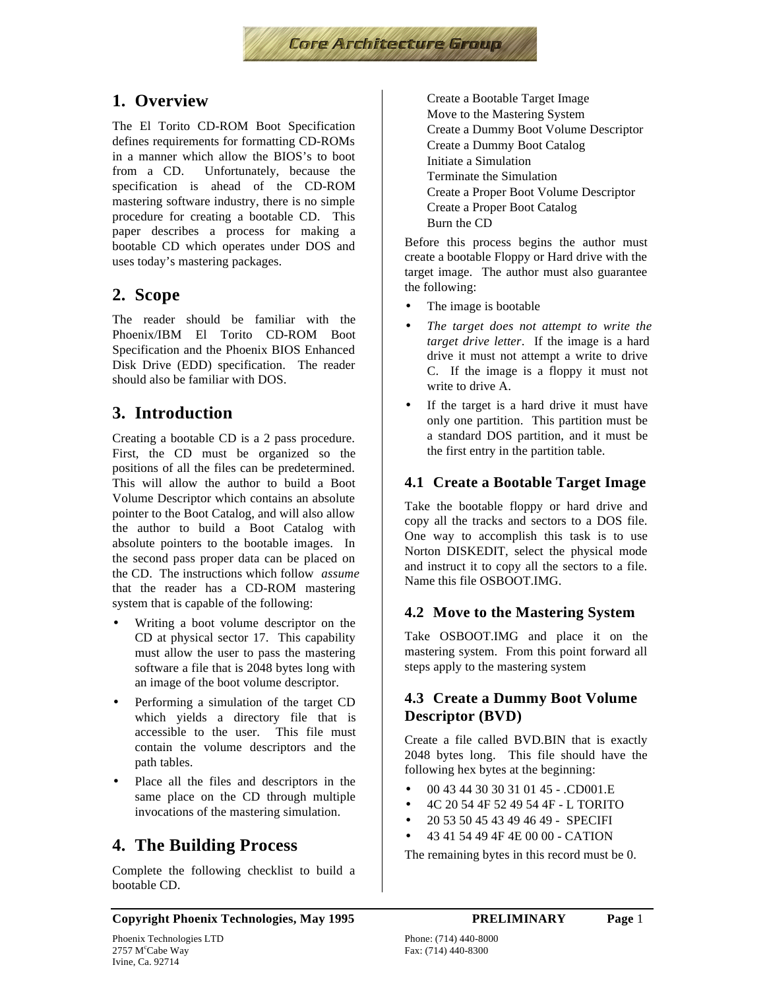

## **1. Overview**

The El Torito CD-ROM Boot Specification defines requirements for formatting CD-ROMs in a manner which allow the BIOS's to boot from a CD. Unfortunately, because the specification is ahead of the CD-ROM mastering software industry, there is no simple procedure for creating a bootable CD. This paper describes a process for making a bootable CD which operates under DOS and uses today's mastering packages.

### **2. Scope**

The reader should be familiar with the Phoenix/IBM El Torito CD-ROM Boot Specification and the Phoenix BIOS Enhanced Disk Drive (EDD) specification. The reader should also be familiar with DOS.

## **3. Introduction**

Creating a bootable CD is a 2 pass procedure. First, the CD must be organized so the positions of all the files can be predetermined. This will allow the author to build a Boot Volume Descriptor which contains an absolute pointer to the Boot Catalog, and will also allow the author to build a Boot Catalog with absolute pointers to the bootable images. In the second pass proper data can be placed on the CD. The instructions which follow *assume* that the reader has a CD-ROM mastering system that is capable of the following:

- Writing a boot volume descriptor on the CD at physical sector 17. This capability must allow the user to pass the mastering software a file that is 2048 bytes long with an image of the boot volume descriptor.
- Performing a simulation of the target CD which yields a directory file that is accessible to the user. This file must contain the volume descriptors and the path tables.
- Place all the files and descriptors in the same place on the CD through multiple invocations of the mastering simulation.

### **4. The Building Process**

Complete the following checklist to build a bootable CD.

 Create a Bootable Target Image Move to the Mastering System Create a Dummy Boot Volume Descriptor Create a Dummy Boot Catalog Initiate a Simulation Terminate the Simulation Create a Proper Boot Volume Descriptor Create a Proper Boot Catalog Burn the CD

Before this process begins the author must create a bootable Floppy or Hard drive with the target image. The author must also guarantee the following:

- The image is bootable
- *The target does not attempt to write the target drive letter*. If the image is a hard drive it must not attempt a write to drive C. If the image is a floppy it must not write to drive A.
- If the target is a hard drive it must have only one partition. This partition must be a standard DOS partition, and it must be the first entry in the partition table.

#### **4.1 Create a Bootable Target Image**

Take the bootable floppy or hard drive and copy all the tracks and sectors to a DOS file. One way to accomplish this task is to use Norton DISKEDIT, select the physical mode and instruct it to copy all the sectors to a file. Name this file OSBOOT.IMG.

#### **4.2 Move to the Mastering System**

Take OSBOOT.IMG and place it on the mastering system. From this point forward all steps apply to the mastering system

#### **4.3 Create a Dummy Boot Volume Descriptor (BVD)**

Create a file called BVD.BIN that is exactly 2048 bytes long. This file should have the following hex bytes at the beginning:

- 00 43 44 30 30 31 01 45 .CD001.E
- 4C 20 54 4F 52 49 54 4F L TORITO
- 20 53 50 45 43 49 46 49 SPECIFI
- 43 41 54 49 4F 4E 00 00 CATION

The remaining bytes in this record must be 0.